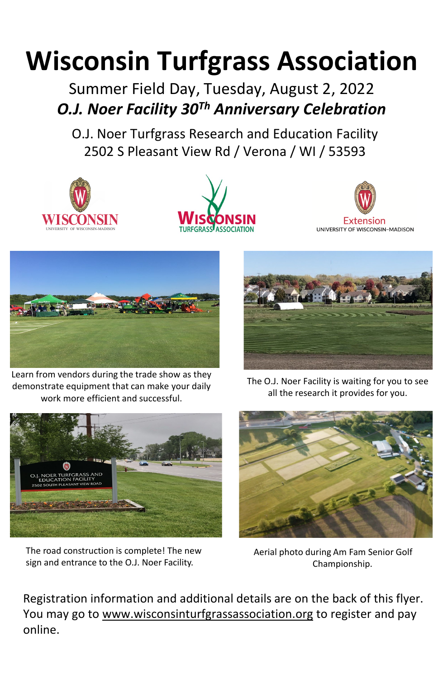# **Wisconsin Turfgrass Association**

Summer Field Day, Tuesday, August 2, 2022 *O.J. Noer Facility 30Th Anniversary Celebration*

O.J. Noer Turfgrass Research and Education Facility 2502 S Pleasant View Rd / Verona / WI / 53593









Learn from vendors during the trade show as they demonstrate equipment that can make your daily work more efficient and successful.



The road construction is complete! The new sign and entrance to the O.J. Noer Facility.



The O.J. Noer Facility is waiting for you to see all the research it provides for you.



Aerial photo during Am Fam Senior Golf Championship.

Registration information and additional details are on the back of this flyer. You may go to [www.wisconsinturfgrassassociation.org](http://www.wisconsinturfgrassassociation.org/) to register and pay online.